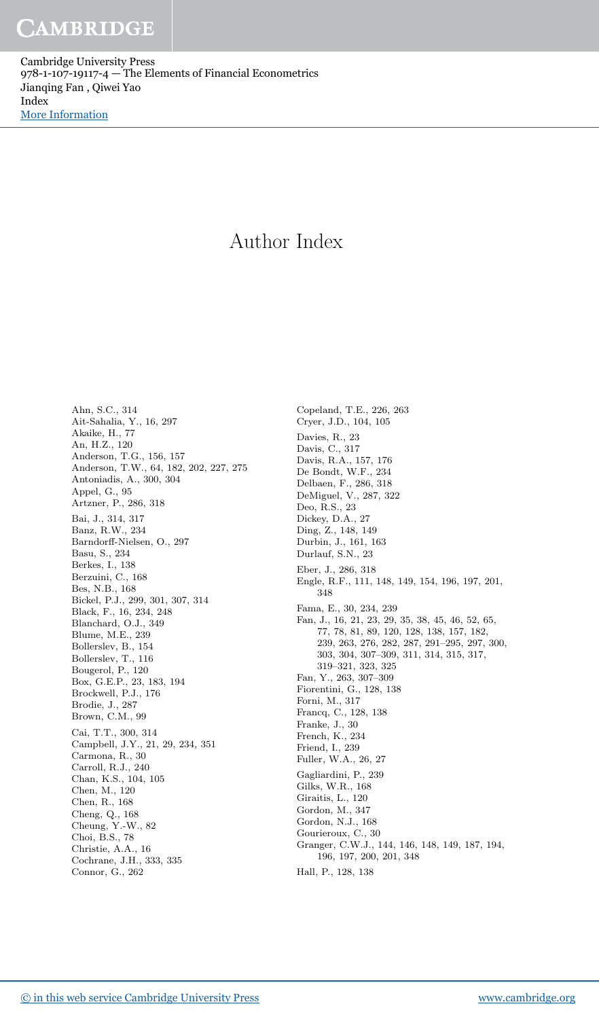Cambridge University Press 978-1-107-19117-4 — The Elements of Financial Econometrics Jianqing Fan , Qiwei Yao Index [More Information](www.cambridge.org/9781107191174)

# Author Index

Ahn, S.C., 314 Ait-Sahalia, Y., 16, 297 Akaike, H., 77 An, H.Z., 120 Anderson, T.G., 156, 157 Anderson, T.W., 64, 182, 202, 227, 275 Antoniadis, A., 300, 304 Appel, G., 95 Artzner, P., 286, 318 Bai, J., 314, 317 Banz, R.W., 234 Barndorff-Nielsen, O., 297 Basu, S., 234 Berkes, I., 138 Berzuini, C., 168 Bes, N.B., 168 Bickel, P.J., 299, 301, 307, 314 Black, F., 16, 234, 248 Blanchard, O.J., 349 Blume, M.E., 239 Bollerslev, B., 154 Bollerslev, T., 116 Bougerol, P., 120 Box, G.E.P., 23, 183, 194 Brockwell, P.J., 176 Brodie, J., 287 Brown, C.M., 99 Cai, T.T., 300, 314 Campbell, J.Y., 21, 29, 234, 351 Carmona, R., 30 Carroll, R.J., 240 Chan, K.S., 104, 105 Chen, M., 120 Chen, R., 168 Cheng, Q., 168 Cheung, Y.-W., 82 Choi, B.S., 78 Christie, A.A., 16 Cochrane, J.H., 333, 335 Connor, G., 262

Copeland, T.E., 226, 263 Cryer, J.D., 104, 105 Davies, R., 23 Davis, C., 317 Davis, R.A., 157, 176 De Bondt, W.F., 234 Delbaen, F., 286, 318 DeMiguel, V., 287, 322 Deo, R.S., 23 Dickey, D.A., 27 Ding, Z., 148, 149 Durbin, J., 161, 163 Durlauf, S.N., 23 Eber, J., 286, 318 Engle, R.F., 111, 148, 149, 154, 196, 197, 201, 348 Fama, E., 30, 234, 239 Fan, J., 16, 21, 23, 29, 35, 38, 45, 46, 52, 65, 77, 78, 81, 89, 120, 128, 138, 157, 182, 239, 263, 276, 282, 287, 291–295, 297, 300, 303, 304, 307–309, 311, 314, 315, 317, 319–321, 323, 325 Fan, Y., 263, 307–309 Fiorentini, G., 128, 138 Forni, M., 317 Francq, C., 128, 138 Franke, J., 30 French, K., 234 Friend, I., 239 Fuller, W.A., 26, 27 Gagliardini, P., 239 Gilks, W.R., 168 Giraitis, L., 120 Gordon, M., 347 Gordon, N.J., 168 Gourieroux, C., 30 Granger, C.W.J., 144, 146, 148, 149, 187, 194, 196, 197, 200, 201, 348 Hall, P., 128, 138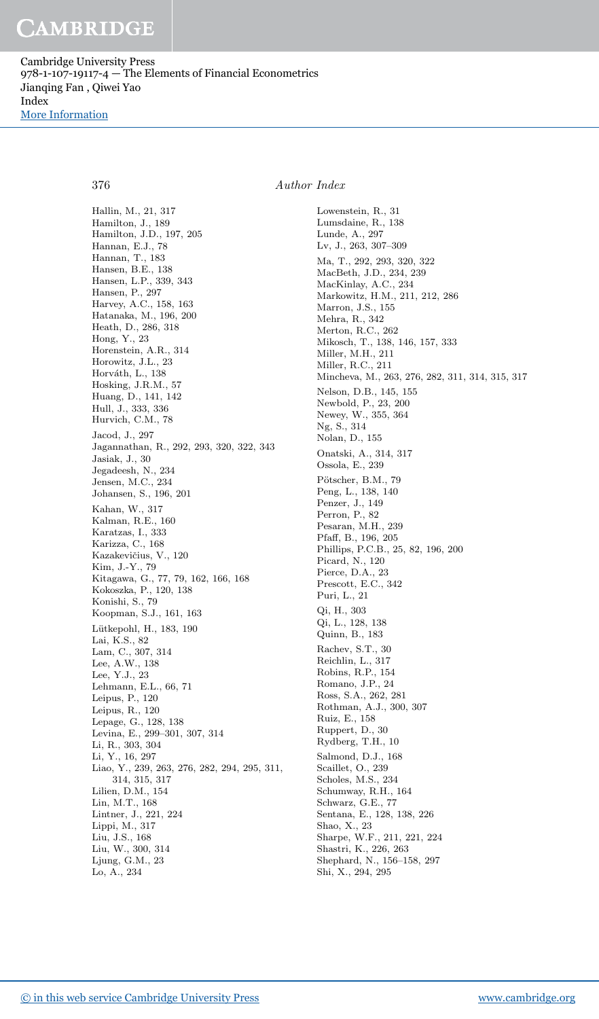Cambridge University Press 978-1-107-19117-4 — The Elements of Financial Econometrics Jianqing Fan , Qiwei Yao Index

[More Information](www.cambridge.org/9781107191174)

Hallin, M., 21, 317 Hamilton, J., 189 Hamilton, J.D., 197, 205 Hannan, E.J., 78 Hannan, T., 183 Hansen, B.E., 138 Hansen, L.P., 339, 343 Hansen, P., 297 Harvey, A.C., 158, 163 Hatanaka, M., 196, 200 Heath, D., 286, 318 Hong, Y., 23 Horenstein, A.R., 314 Horowitz, J.L., 23 Horváth, L., 138 Hosking, J.R.M., 57 Huang, D., 141, 142 Hull, J., 333, 336 Hurvich, C.M., 78 Jacod, J., 297 Jagannathan, R., 292, 293, 320, 322, 343 Jasiak, J., 30 Jegadeesh, N., 234 Jensen, M.C., 234 Johansen, S., 196, 201 Kahan, W., 317 Kalman, R.E., 160 Karatzas, I., 333 Karizza, C., 168 Kazakevičius, V., 120 Kim, J.-Y., 79 Kitagawa, G., 77, 79, 162, 166, 168 Kokoszka, P., 120, 138 Konishi, S., 79 Koopman, S.J., 161, 163 Lütkepohl, H., 183, 190 Lai, K.S., 82 Lam, C., 307, 314 Lee, A.W., 138 Lee, Y.J., 23 Lehmann, E.L., 66, 71 Leipus, P., 120 Leipus, R., 120 Lepage, G., 128, 138 Levina, E., 299–301, 307, 314 Li, R., 303, 304 Li, Y., 16, 297 Liao, Y., 239, 263, 276, 282, 294, 295, 311, 314, 315, 317 Lilien, D.M., 154 Lin, M.T., 168 Lintner, J., 221, 224 Lippi, M., 317 Liu, J.S., 168 Liu, W., 300, 314 Ljung, G.M., 23 Lo, A., 234

### 376 Author Index

Lowenstein, R., 31 Lumsdaine, R., 138 Lunde, A., 297 Lv, J., 263, 307–309 Ma, T., 292, 293, 320, 322 MacBeth, J.D., 234, 239 MacKinlay, A.C., 234 Markowitz, H.M., 211, 212, 286 Marron, J.S., 155 Mehra, R., 342 Merton, R.C., 262 Mikosch, T., 138, 146, 157, 333 Miller, M.H., 211 Miller, R.C., 211 Mincheva, M., 263, 276, 282, 311, 314, 315, 317 Nelson, D.B., 145, 155 Newbold, P., 23, 200 Newey, W., 355, 364 Ng, S., 314 Nolan, D., 155 Onatski, A., 314, 317 Ossola, E., 239 Pötscher, B.M., 79 Peng, L., 138, 140 Penzer, J., 149 Perron, P., 82 Pesaran, M.H., 239 Pfaff, B., 196, 205 Phillips, P.C.B., 25, 82, 196, 200 Picard, N., 120 Pierce, D.A., 23 Prescott, E.C., 342 Puri, L., 21 Qi, H., 303 Qi, L., 128, 138 Quinn, B., 183 Rachev, S.T., 30 Reichlin, L., 317 Robins, R.P., 154 Romano, J.P., 24 Ross, S.A., 262, 281 Rothman, A.J., 300, 307 Ruiz, E., 158 Ruppert, D., 30 Rydberg, T.H., 10 Salmond, D.J., 168 Scaillet, O., 239 Scholes, M.S., 234 Schumway, R.H., 164 Schwarz, G.E., 77 Sentana, E., 128, 138, 226 Shao, X., 23 Sharpe, W.F., 211, 221, 224 Shastri, K., 226, 263 Shephard, N., 156–158, 297 Shi, X., 294, 295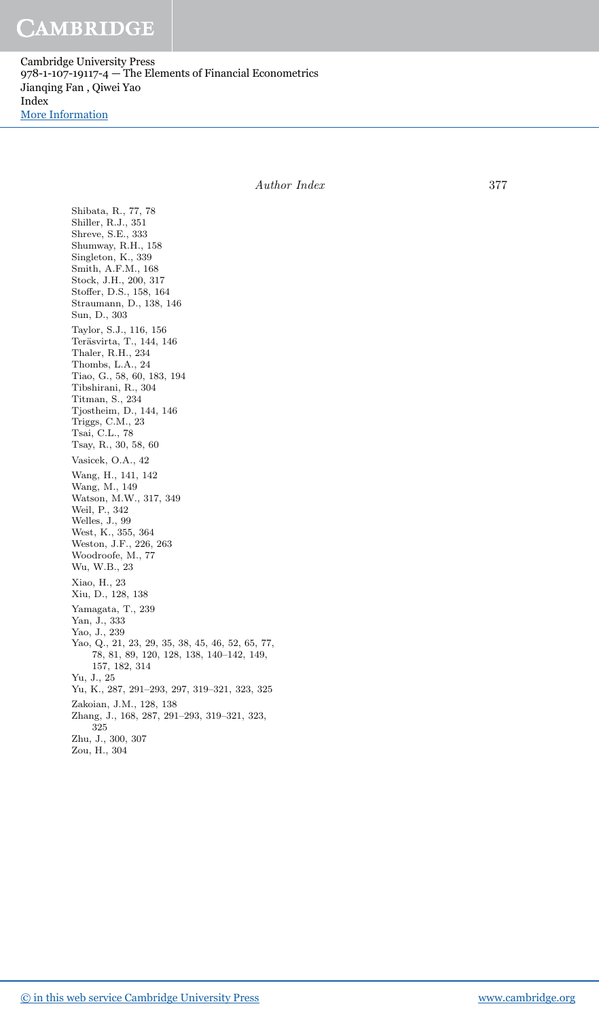Cambridge University Press 978-1-107-19117-4 — The Elements of Financial Econometrics Jianqing Fan , Qiwei Yao Index [More Information](www.cambridge.org/9781107191174)

Author Index 377

Shibata, R., 77, 78 Shiller, R.J., 351 Shreve, S.E., 333 Shumway, R.H., 158 Singleton, K., 339 Smith, A.F.M., 168 Stock, J.H., 200, 317 Stoffer, D.S., 158, 164 Straumann, D., 138, 146 Sun, D., 303 Taylor, S.J., 116, 156 Teräsvirta, T., 144, 146 Thaler, R.H., 234 Thombs, L.A., 24 Tiao, G., 58, 60, 183, 194 Tibshirani, R., 304 Titman, S., 234 Tjostheim, D., 144, 146 Triggs, C.M., 23 Tsai, C.L., 78 Tsay, R., 30, 58, 60 Vasicek, O.A., 42 Wang, H., 141, 142 Wang, M., 149 Watson, M.W., 317, 349 Weil, P., 342 Welles, J., 99 West, K., 355, 364 Weston, J.F., 226, 263 Woodroofe, M., 77 Wu, W.B., 23 Xiao, H., 23 Xiu, D., 128, 138 Yamagata, T., 239 Yan, J., 333 Yao, J., 239 Yao, Q., 21, 23, 29, 35, 38, 45, 46, 52, 65, 77, 78, 81, 89, 120, 128, 138, 140–142, 149, 157, 182, 314 Yu, J., 25 Yu, K., 287, 291–293, 297, 319–321, 323, 325 Zakoian, J.M., 128, 138 Zhang, J., 168, 287, 291–293, 319–321, 323, 325 Zhu, J., 300, 307 Zou, H., 304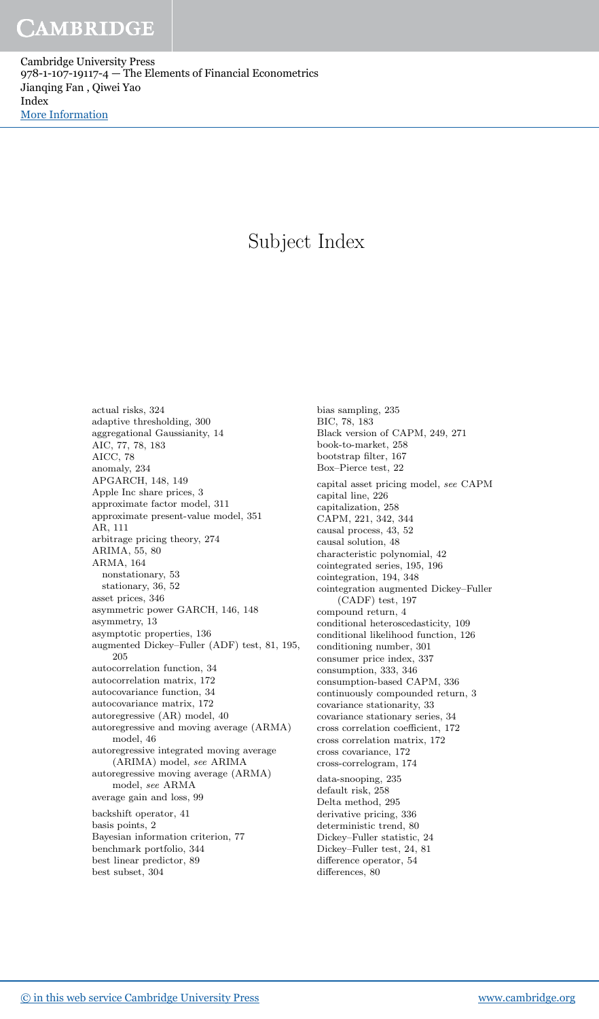Cambridge University Press 978-1-107-19117-4 — The Elements of Financial Econometrics Jianqing Fan , Qiwei Yao Index [More Information](www.cambridge.org/9781107191174)

## Subject Index

actual risks, 324 adaptive thresholding, 300 aggregational Gaussianity, 14 AIC, 77, 78, 183 AICC, 78 anomaly, 234 APGARCH, 148, 149 Apple Inc share prices, 3 approximate factor model, 311 approximate present-value model, 351 AR, 111 arbitrage pricing theory, 274 ARIMA, 55, 80 ARMA, 164 nonstationary, 53 stationary, 36, 52 asset prices, 346 asymmetric power GARCH, 146, 148 asymmetry, 13 asymptotic properties, 136 augmented Dickey–Fuller (ADF) test, 81, 195, 205 autocorrelation function, 34 autocorrelation matrix, 172 autocovariance function, 34 autocovariance matrix, 172 autoregressive (AR) model, 40 autoregressive and moving average (ARMA) model, 46 autoregressive integrated moving average (ARIMA) model, see ARIMA autoregressive moving average (ARMA) model, see ARMA average gain and loss, 99 backshift operator, 41 basis points, 2 Bayesian information criterion, 77 benchmark portfolio, 344 best linear predictor, 89 best subset, 304

bias sampling, 235 BIC, 78, 183 Black version of CAPM, 249, 271 book-to-market, 258 bootstrap filter, 167 Box–Pierce test, 22 capital asset pricing model, see CAPM capital line, 226 capitalization, 258 CAPM, 221, 342, 344 causal process, 43, 52 causal solution, 48 characteristic polynomial, 42 cointegrated series, 195, 196 cointegration, 194, 348 cointegration augmented Dickey–Fuller (CADF) test, 197 compound return, 4 conditional heteroscedasticity, 109 conditional likelihood function, 126 conditioning number, 301 consumer price index, 337 consumption, 333, 346 consumption-based CAPM, 336 continuously compounded return, 3 covariance stationarity, 33 covariance stationary series, 34 cross correlation coefficient, 172 cross correlation matrix, 172 cross covariance, 172 cross-correlogram, 174 data-snooping, 235 default risk, 258 Delta method, 295 derivative pricing, 336 deterministic trend, 80 Dickey–Fuller statistic, 24 Dickey–Fuller test, 24, 81 difference operator, 54 differences, 80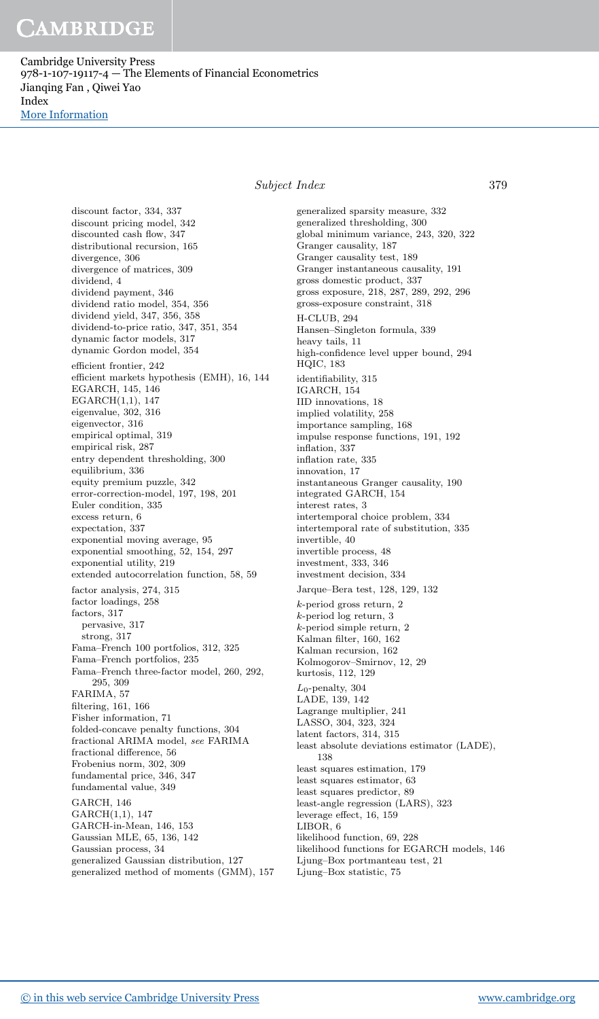Cambridge University Press 978-1-107-19117-4 — The Elements of Financial Econometrics Jianqing Fan , Qiwei Yao Index

[More Information](www.cambridge.org/9781107191174)

Subject Index 379

discount factor, 334, 337 discount pricing model, 342 discounted cash flow, 347 distributional recursion, 165 divergence, 306 divergence of matrices, 309 dividend, 4 dividend payment, 346 dividend ratio model, 354, 356 dividend yield, 347, 356, 358 dividend-to-price ratio, 347, 351, 354 dynamic factor models, 317 dynamic Gordon model, 354 efficient frontier, 242 efficient markets hypothesis (EMH), 16, 144 EGARCH, 145, 146 EGARCH(1,1), 147 eigenvalue, 302, 316 eigenvector, 316 empirical optimal, 319 empirical risk, 287 entry dependent thresholding, 300 equilibrium, 336 equity premium puzzle, 342 error-correction-model, 197, 198, 201 Euler condition, 335 excess return, 6 expectation, 337 exponential moving average, 95 exponential smoothing, 52, 154, 297 exponential utility, 219 extended autocorrelation function, 58, 59 factor analysis, 274, 315 factor loadings, 258 factors, 317 pervasive, 317 strong, 317 Fama–French 100 portfolios, 312, 325 Fama–French portfolios, 235 Fama–French three-factor model, 260, 292, 295, 309 FARIMA, 57 filtering, 161, 166 Fisher information, 71 folded-concave penalty functions, 304 fractional ARIMA model, see FARIMA fractional difference, 56 Frobenius norm, 302, 309 fundamental price, 346, 347 fundamental value, 349 GARCH, 146 GARCH(1,1), 147 GARCH-in-Mean, 146, 153 Gaussian MLE, 65, 136, 142 Gaussian process, 34 generalized Gaussian distribution, 127 generalized method of moments (GMM), 157

generalized sparsity measure, 332 generalized thresholding, 300 global minimum variance, 243, 320, 322 Granger causality, 187 Granger causality test, 189 Granger instantaneous causality, 191 gross domestic product, 337 gross exposure, 218, 287, 289, 292, 296 gross-exposure constraint, 318 H-CLUB, 294 Hansen–Singleton formula, 339 heavy tails, 11 high-confidence level upper bound, 294 HQIC, 183 identifiability, 315 IGARCH, 154 IID innovations, 18 implied volatility, 258 importance sampling, 168 impulse response functions, 191, 192 inflation, 337 inflation rate, 335 innovation, 17 instantaneous Granger causality, 190 integrated GARCH, 154 interest rates, 3 intertemporal choice problem, 334 intertemporal rate of substitution, 335 invertible, 40 invertible process, 48 investment, 333, 346 investment decision, 334 Jarque–Bera test, 128, 129, 132 k-period gross return, 2 k-period log return, 3 k-period simple return, 2 Kalman filter, 160, 162 Kalman recursion, 162 Kolmogorov–Smirnov, 12, 29 kurtosis, 112, 129  $L_0$ -penalty, 304 LADE, 139, 142 Lagrange multiplier, 241 LASSO, 304, 323, 324 latent factors, 314, 315 least absolute deviations estimator (LADE), 138 least squares estimation, 179 least squares estimator, 63 least squares predictor, 89 least-angle regression (LARS), 323 leverage effect, 16, 159 LIBOR, 6 likelihood function, 69, 228 likelihood functions for EGARCH models, 146 Ljung–Box portmanteau test, 21 Ljung–Box statistic, 75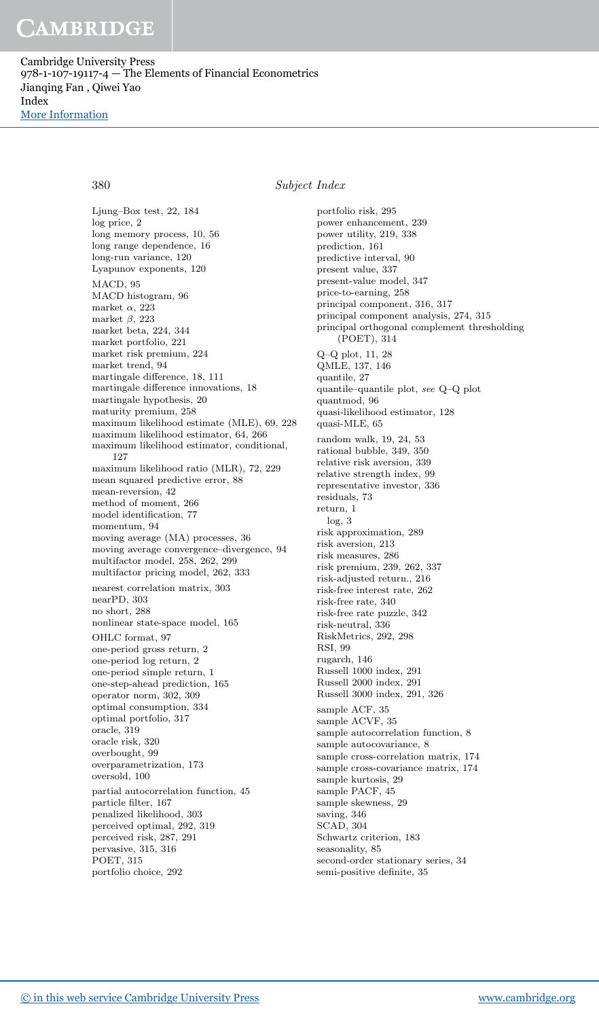Cambridge University Press 978-1-107-19117-4 — The Elements of Financial Econometrics Jianqing Fan , Qiwei Yao Index

[More Information](www.cambridge.org/9781107191174)

380 Subject Index

Ljung–Box test, 22, 184 log price, 2 long memory process, 10, 56 long range dependence, 16 long-run variance, 120 Lyapunov exponents, 120 MACD, 95 MACD histogram, 96 market  $\alpha$ , 223 market  $\beta$ , 223 market beta, 224, 344 market portfolio, 221 market risk premium, 224 market trend, 94 martingale difference, 18, 111 martingale difference innovations, 18 martingale hypothesis, 20 maturity premium, 258 maximum likelihood estimate (MLE), 69, 228 maximum likelihood estimator, 64, 266 maximum likelihood estimator, conditional, 127 maximum likelihood ratio (MLR), 72, 229 mean squared predictive error, 88 mean-reversion, 42 method of moment, 266 model identification, 77 momentum, 94 moving average (MA) processes, 36 moving average convergence–divergence, 94 multifactor model, 258, 262, 299 multifactor pricing model, 262, 333 nearest correlation matrix, 303 nearPD, 303 no short, 288 nonlinear state-space model, 165 OHLC format, 97 one-period gross return, 2 one-period log return, 2 one-period simple return, 1 one-step-ahead prediction, 165 operator norm, 302, 309 optimal consumption, 334 optimal portfolio, 317 oracle, 319 oracle risk, 320 overbought, 99 overparametrization, 173 oversold, 100 partial autocorrelation function, 45 particle filter, 167 penalized likelihood, 303 perceived optimal, 292, 319 perceived risk, 287, 291 pervasive, 315, 316 POET, 315 portfolio choice, 292

portfolio risk, 295 power enhancement, 239 power utility, 219, 338 prediction, 161 predictive interval, 90 present value, 337 present-value model, 347 price-to-earning, 258 principal component, 316, 317 principal component analysis, 274, 315 principal orthogonal complement thresholding (POET), 314 Q–Q plot, 11, 28 QMLE, 137, 146 quantile, 27 quantile–quantile plot, see Q–Q plot quantmod, 96 quasi-likelihood estimator, 128 quasi-MLE, 65 random walk, 19, 24, 53 rational bubble, 349, 350 relative risk aversion, 339 relative strength index, 99 representative investor, 336 residuals, 73 return, 1 log, 3 risk approximation, 289 risk aversion, 213 risk measures, 286 risk premium, 239, 262, 337 risk-adjusted return., 216 risk-free interest rate, 262 risk-free rate, 340 risk-free rate puzzle, 342 risk-neutral, 336 RiskMetrics, 292, 298 RSI, 99 rugarch, 146 Russell 1000 index, 291 Russell 2000 index, 291 Russell 3000 index, 291, 326 sample ACF, 35 sample ACVF, 35 sample autocorrelation function, 8 sample autocovariance, 8 sample cross-correlation matrix, 174 sample cross-covariance matrix, 174 sample kurtosis, 29 sample PACF, 45 sample skewness, 29 saving, 346 SCAD, 304 Schwartz criterion, 183 seasonality, 85 second-order stationary series, 34 semi-positive definite, 35